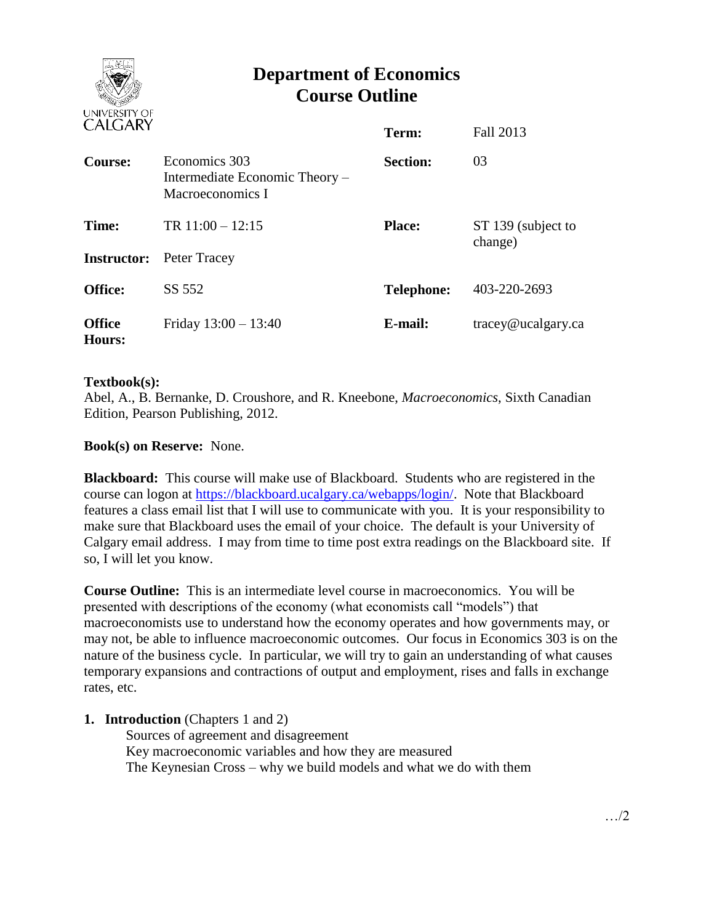

# **Department of Economics Course Outline**

| U ILU/INI                   |                                                                     | Term:             | Fall 2013                     |
|-----------------------------|---------------------------------------------------------------------|-------------------|-------------------------------|
| Course:                     | Economics 303<br>Intermediate Economic Theory –<br>Macroeconomics I | <b>Section:</b>   | 03                            |
| Time:<br><b>Instructor:</b> | TR $11:00 - 12:15$<br>Peter Tracey                                  | <b>Place:</b>     | ST 139 (subject to<br>change) |
|                             |                                                                     |                   |                               |
| <b>Office:</b>              | SS 552                                                              | <b>Telephone:</b> | 403-220-2693                  |
| <b>Office</b><br>Hours:     | Friday $13:00 - 13:40$                                              | E-mail:           | tracey@ucalgary.ca            |

## **Textbook(s):**

Abel, A., B. Bernanke, D. Croushore, and R. Kneebone, *Macroeconomics*, Sixth Canadian Edition, Pearson Publishing, 2012.

# **Book(s) on Reserve:** None.

**Blackboard:** This course will make use of Blackboard. Students who are registered in the course can logon at [https://blackboard.ucalgary.ca/webapps/login/.](https://blackboard.ucalgary.ca/webapps/login/) Note that Blackboard features a class email list that I will use to communicate with you. It is your responsibility to make sure that Blackboard uses the email of your choice. The default is your University of Calgary email address. I may from time to time post extra readings on the Blackboard site. If so, I will let you know.

**Course Outline:** This is an intermediate level course in macroeconomics. You will be presented with descriptions of the economy (what economists call "models") that macroeconomists use to understand how the economy operates and how governments may, or may not, be able to influence macroeconomic outcomes. Our focus in Economics 303 is on the nature of the business cycle. In particular, we will try to gain an understanding of what causes temporary expansions and contractions of output and employment, rises and falls in exchange rates, etc.

## **1. Introduction** (Chapters 1 and 2)

Sources of agreement and disagreement Key macroeconomic variables and how they are measured The Keynesian Cross – why we build models and what we do with them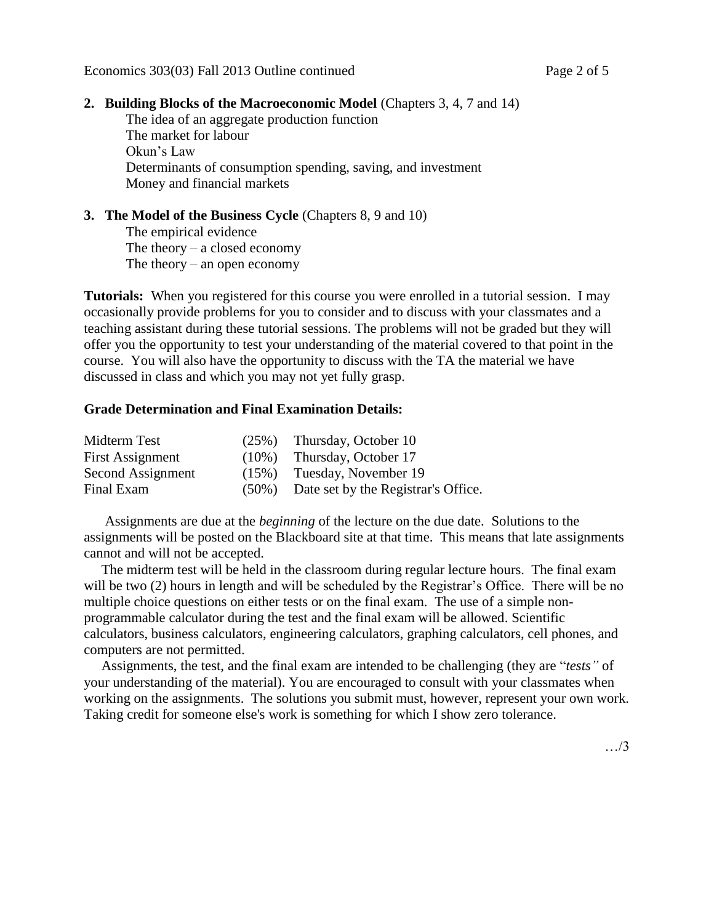#### **2. Building Blocks of the Macroeconomic Model** (Chapters 3, 4, 7 and 14)

The idea of an aggregate production function The market for labour Okun's Law Determinants of consumption spending, saving, and investment Money and financial markets

## **3. The Model of the Business Cycle** (Chapters 8, 9 and 10)

The empirical evidence The theory  $-$  a closed economy The theory – an open economy

**Tutorials:** When you registered for this course you were enrolled in a tutorial session. I may occasionally provide problems for you to consider and to discuss with your classmates and a teaching assistant during these tutorial sessions. The problems will not be graded but they will offer you the opportunity to test your understanding of the material covered to that point in the course. You will also have the opportunity to discuss with the TA the material we have discussed in class and which you may not yet fully grasp.

#### **Grade Determination and Final Examination Details:**

| Midterm Test      | (25%)    | Thursday, October 10                |
|-------------------|----------|-------------------------------------|
| First Assignment  | $(10\%)$ | Thursday, October 17                |
| Second Assignment | $(15\%)$ | Tuesday, November 19                |
| Final Exam        | $(50\%)$ | Date set by the Registrar's Office. |

 Assignments are due at the *beginning* of the lecture on the due date. Solutions to the assignments will be posted on the Blackboard site at that time. This means that late assignments cannot and will not be accepted.

 The midterm test will be held in the classroom during regular lecture hours. The final exam will be two (2) hours in length and will be scheduled by the Registrar's Office. There will be no multiple choice questions on either tests or on the final exam. The use of a simple nonprogrammable calculator during the test and the final exam will be allowed. Scientific calculators, business calculators, engineering calculators, graphing calculators, cell phones, and computers are not permitted.

 Assignments, the test, and the final exam are intended to be challenging (they are "*tests"* of your understanding of the material). You are encouraged to consult with your classmates when working on the assignments. The solutions you submit must, however, represent your own work. Taking credit for someone else's work is something for which I show zero tolerance.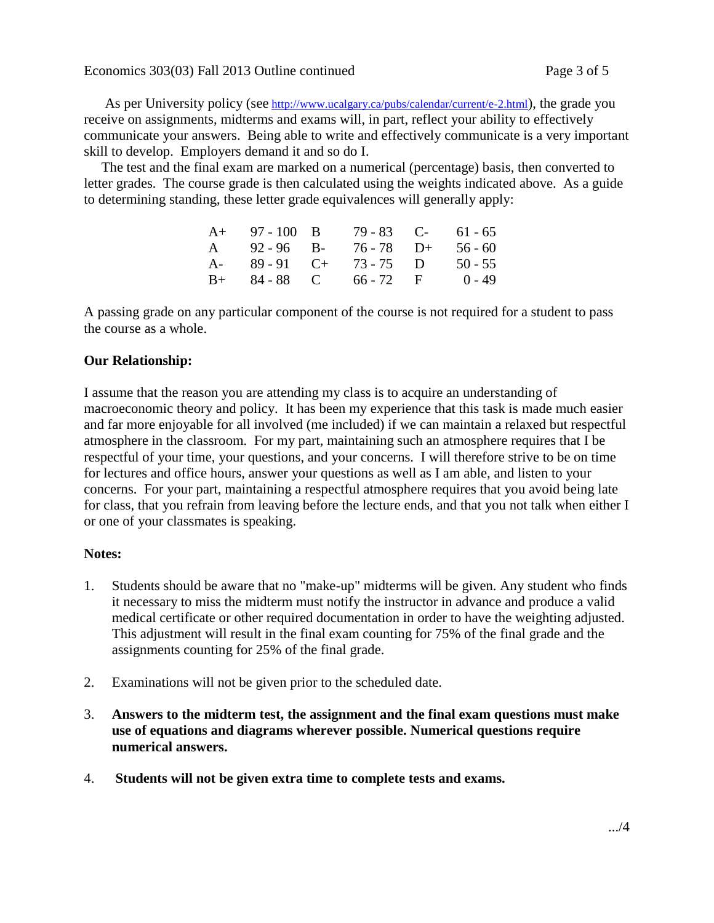As per University policy (see <http://www.ucalgary.ca/pubs/calendar/current/e-2.html>), the grade you receive on assignments, midterms and exams will, in part, reflect your ability to effectively communicate your answers. Being able to write and effectively communicate is a very important skill to develop. Employers demand it and so do I.

 The test and the final exam are marked on a numerical (percentage) basis, then converted to letter grades. The course grade is then calculated using the weights indicated above. As a guide to determining standing, these letter grade equivalences will generally apply:

|                  | $A+ 97-100 B$ | 79 - 83 C-             | 61 - 65   |
|------------------|---------------|------------------------|-----------|
| $A \quad \alpha$ | 92 - 96 B-    | $76 - 78$ D+           | $56 - 60$ |
| $A-$             | $89 - 91$ C+  | $73 - 75$ D            | $50 - 55$ |
|                  |               | $B+ 84-88$ C 66 - 72 F | $0 - 49$  |

A passing grade on any particular component of the course is not required for a student to pass the course as a whole.

# **Our Relationship:**

I assume that the reason you are attending my class is to acquire an understanding of macroeconomic theory and policy. It has been my experience that this task is made much easier and far more enjoyable for all involved (me included) if we can maintain a relaxed but respectful atmosphere in the classroom. For my part, maintaining such an atmosphere requires that I be respectful of your time, your questions, and your concerns. I will therefore strive to be on time for lectures and office hours, answer your questions as well as I am able, and listen to your concerns. For your part, maintaining a respectful atmosphere requires that you avoid being late for class, that you refrain from leaving before the lecture ends, and that you not talk when either I or one of your classmates is speaking.

## **Notes:**

- 1. Students should be aware that no "make-up" midterms will be given. Any student who finds it necessary to miss the midterm must notify the instructor in advance and produce a valid medical certificate or other required documentation in order to have the weighting adjusted. This adjustment will result in the final exam counting for 75% of the final grade and the assignments counting for 25% of the final grade.
- 2. Examinations will not be given prior to the scheduled date.
- 3. **Answers to the midterm test, the assignment and the final exam questions must make use of equations and diagrams wherever possible. Numerical questions require numerical answers.**
- 4. **Students will not be given extra time to complete tests and exams.**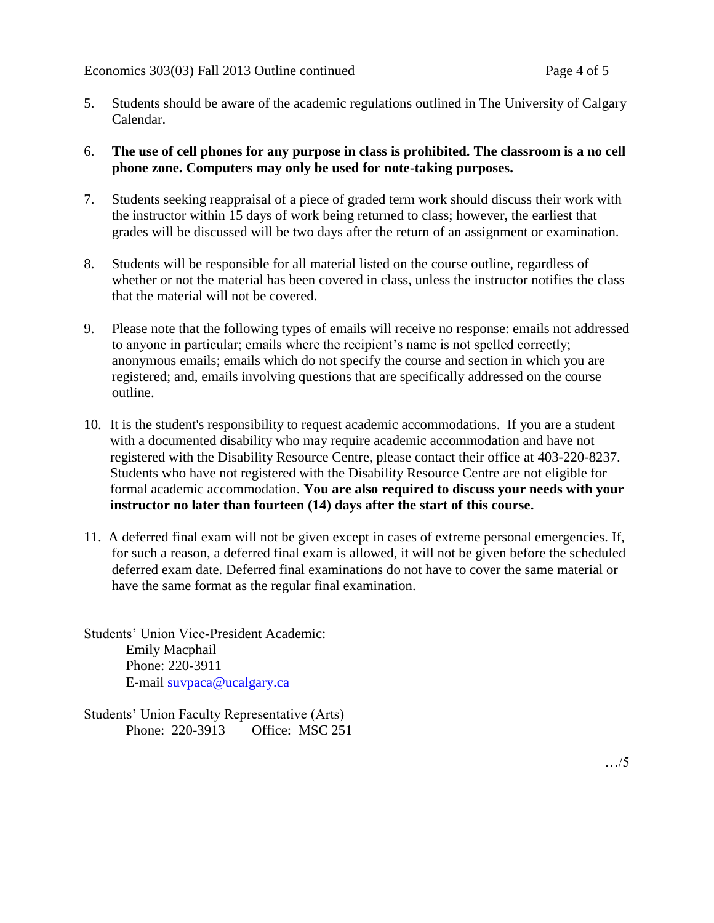- 5. Students should be aware of the academic regulations outlined in The University of Calgary Calendar.
- 6. **The use of cell phones for any purpose in class is prohibited. The classroom is a no cell phone zone. Computers may only be used for note-taking purposes.**
- 7. Students seeking reappraisal of a piece of graded term work should discuss their work with the instructor within 15 days of work being returned to class; however, the earliest that grades will be discussed will be two days after the return of an assignment or examination.
- 8. Students will be responsible for all material listed on the course outline, regardless of whether or not the material has been covered in class, unless the instructor notifies the class that the material will not be covered.
- 9. Please note that the following types of emails will receive no response: emails not addressed to anyone in particular; emails where the recipient's name is not spelled correctly; anonymous emails; emails which do not specify the course and section in which you are registered; and, emails involving questions that are specifically addressed on the course outline.
- 10. It is the student's responsibility to request academic accommodations. If you are a student with a documented disability who may require academic accommodation and have not registered with the Disability Resource Centre, please contact their office at 403-220-8237. Students who have not registered with the Disability Resource Centre are not eligible for formal academic accommodation. **You are also required to discuss your needs with your instructor no later than fourteen (14) days after the start of this course.**
- 11. A deferred final exam will not be given except in cases of extreme personal emergencies. If, for such a reason, a deferred final exam is allowed, it will not be given before the scheduled deferred exam date. Deferred final examinations do not have to cover the same material or have the same format as the regular final examination.

Students' Union Vice-President Academic: Emily Macphail Phone: 220-3911 E-mail [suvpaca@ucalgary.ca](mailto:subpaca@ucalgary.ca)

Students' Union Faculty Representative (Arts) Phone: 220-3913 Office: MSC 251